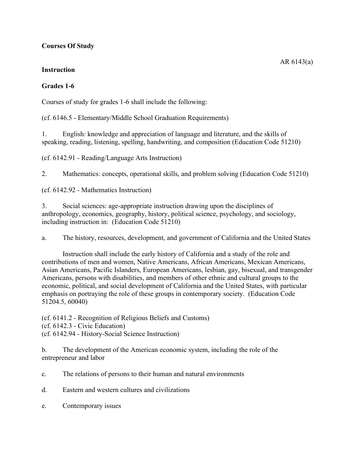## **Courses Of Study**

## **Instruction**

## **Grades 1-6**

Courses of study for grades 1-6 shall include the following:

(cf. 6146.5 - Elementary/Middle School Graduation Requirements)

1. English: knowledge and appreciation of language and literature, and the skills of speaking, reading, listening, spelling, handwriting, and composition (Education Code 51210)

(cf. 6142.91 - Reading/Language Arts Instruction)

2. Mathematics: concepts, operational skills, and problem solving (Education Code 51210)

(cf. 6142.92 - Mathematics Instruction)

3. Social sciences: age-appropriate instruction drawing upon the disciplines of anthropology, economics, geography, history, political science, psychology, and sociology, including instruction in: (Education Code 51210)

a. The history, resources, development, and government of California and the United States

Instruction shall include the early history of California and a study of the role and contributions of men and women, Native Americans, African Americans, Mexican Americans, Asian Americans, Pacific Islanders, European Americans, lesbian, gay, bisexual, and transgender Americans, persons with disabilities, and members of other ethnic and cultural groups to the economic, political, and social development of California and the United States, with particular emphasis on portraying the role of these groups in contemporary society. (Education Code 51204.5, 60040)

(cf. 6141.2 - Recognition of Religious Beliefs and Customs) (cf. 6142.3 - Civic Education) (cf. 6142.94 - History-Social Science Instruction)

b. The development of the American economic system, including the role of the entrepreneur and labor

c. The relations of persons to their human and natural environments

d. Eastern and western cultures and civilizations

e. Contemporary issues